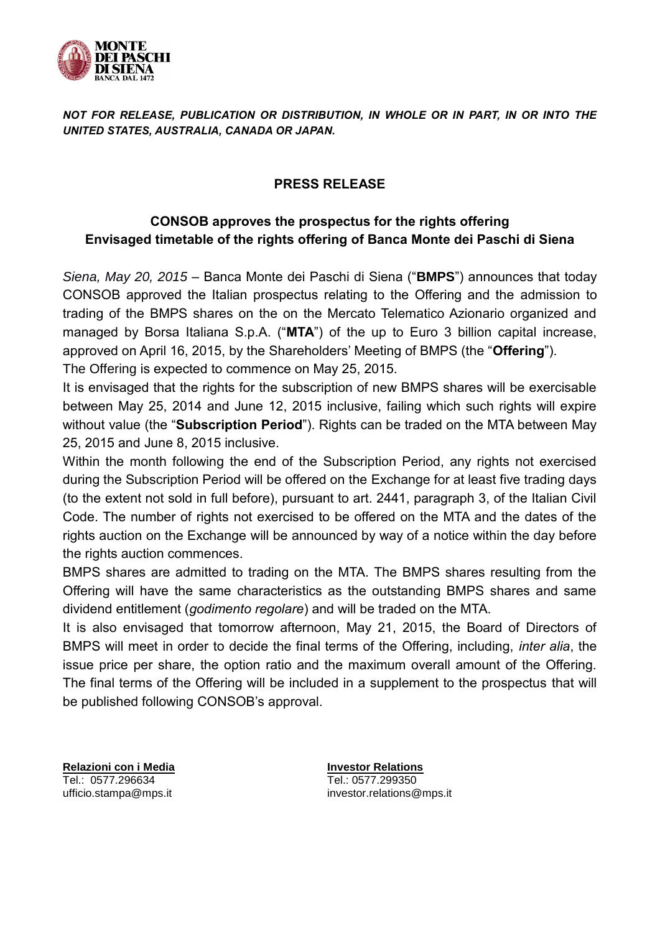

## *NOT FOR RELEASE, PUBLICATION OR DISTRIBUTION, IN WHOLE OR IN PART, IN OR INTO THE UNITED STATES, AUSTRALIA, CANADA OR JAPAN.*

## **PRESS RELEASE**

## **CONSOB approves the prospectus for the rights offering Envisaged timetable of the rights offering of Banca Monte dei Paschi di Siena**

*Siena, May 20, 2015* – Banca Monte dei Paschi di Siena ("**BMPS**") announces that today CONSOB approved the Italian prospectus relating to the Offering and the admission to trading of the BMPS shares on the on the Mercato Telematico Azionario organized and managed by Borsa Italiana S.p.A. ("**MTA**") of the up to Euro 3 billion capital increase, approved on April 16, 2015, by the Shareholders' Meeting of BMPS (the "**Offering**"). The Offering is expected to commence on May 25, 2015.

It is envisaged that the rights for the subscription of new BMPS shares will be exercisable between May 25, 2014 and June 12, 2015 inclusive, failing which such rights will expire without value (the "**Subscription Period**"). Rights can be traded on the MTA between May 25, 2015 and June 8, 2015 inclusive.

Within the month following the end of the Subscription Period, any rights not exercised during the Subscription Period will be offered on the Exchange for at least five trading days (to the extent not sold in full before), pursuant to art. 2441, paragraph 3, of the Italian Civil Code. The number of rights not exercised to be offered on the MTA and the dates of the rights auction on the Exchange will be announced by way of a notice within the day before the rights auction commences.

BMPS shares are admitted to trading on the MTA. The BMPS shares resulting from the Offering will have the same characteristics as the outstanding BMPS shares and same dividend entitlement (*godimento regolare*) and will be traded on the MTA.

It is also envisaged that tomorrow afternoon, May 21, 2015, the Board of Directors of BMPS will meet in order to decide the final terms of the Offering, including, *inter alia*, the issue price per share, the option ratio and the maximum overall amount of the Offering. The final terms of the Offering will be included in a supplement to the prospectus that will be published following CONSOB's approval.

**Relazioni con i Media** Tel.: 0577.296634 ufficio.stampa@mps.it

**Investor Relations** Tel.: 0577.299350 investor.relations@mps.it